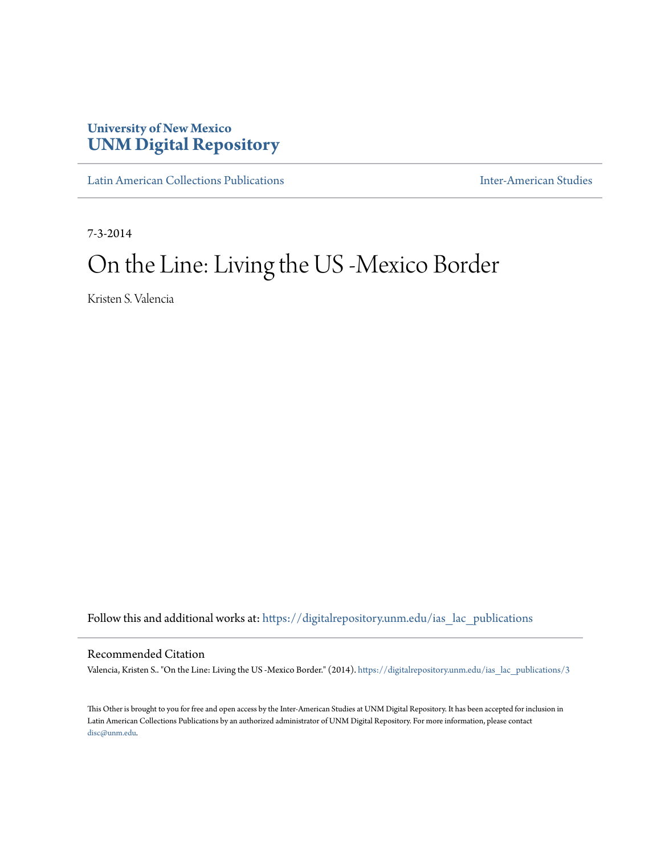## **University of New Mexico [UNM Digital Repository](https://digitalrepository.unm.edu?utm_source=digitalrepository.unm.edu%2Fias_lac_publications%2F3&utm_medium=PDF&utm_campaign=PDFCoverPages)**

[Latin American Collections Publications](https://digitalrepository.unm.edu/ias_lac_publications?utm_source=digitalrepository.unm.edu%2Fias_lac_publications%2F3&utm_medium=PDF&utm_campaign=PDFCoverPages) **[Inter-American Studies](https://digitalrepository.unm.edu/ias?utm_source=digitalrepository.unm.edu%2Fias_lac_publications%2F3&utm_medium=PDF&utm_campaign=PDFCoverPages)** Inter-American Studies

7-3-2014

## On the Line: Living the US -Mexico Border

Kristen S. Valencia

Follow this and additional works at: [https://digitalrepository.unm.edu/ias\\_lac\\_publications](https://digitalrepository.unm.edu/ias_lac_publications?utm_source=digitalrepository.unm.edu%2Fias_lac_publications%2F3&utm_medium=PDF&utm_campaign=PDFCoverPages)

Recommended Citation

Valencia, Kristen S.. "On the Line: Living the US -Mexico Border." (2014). [https://digitalrepository.unm.edu/ias\\_lac\\_publications/3](https://digitalrepository.unm.edu/ias_lac_publications/3?utm_source=digitalrepository.unm.edu%2Fias_lac_publications%2F3&utm_medium=PDF&utm_campaign=PDFCoverPages)

This Other is brought to you for free and open access by the Inter-American Studies at UNM Digital Repository. It has been accepted for inclusion in Latin American Collections Publications by an authorized administrator of UNM Digital Repository. For more information, please contact [disc@unm.edu](mailto:disc@unm.edu).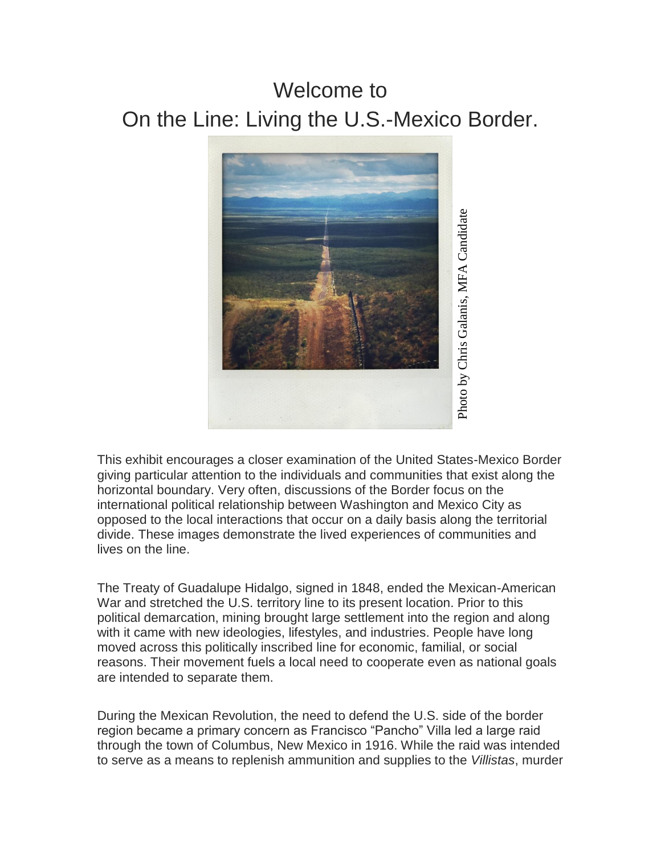## Welcome to On the Line: Living the U.S.-Mexico Border.



This exhibit encourages a closer examination of the United States-Mexico Border giving particular attention to the individuals and communities that exist along the horizontal boundary. Very often, discussions of the Border focus on the international political relationship between Washington and Mexico City as opposed to the local interactions that occur on a daily basis along the territorial divide. These images demonstrate the lived experiences of communities and lives on the line.

The Treaty of Guadalupe Hidalgo, signed in 1848, ended the Mexican-American War and stretched the U.S. territory line to its present location. Prior to this political demarcation, mining brought large settlement into the region and along with it came with new ideologies, lifestyles, and industries. People have long moved across this politically inscribed line for economic, familial, or social reasons. Their movement fuels a local need to cooperate even as national goals are intended to separate them.

During the Mexican Revolution, the need to defend the U.S. side of the border region became a primary concern as Francisco "Pancho" Villa led a large raid through the town of Columbus, New Mexico in 1916. While the raid was intended